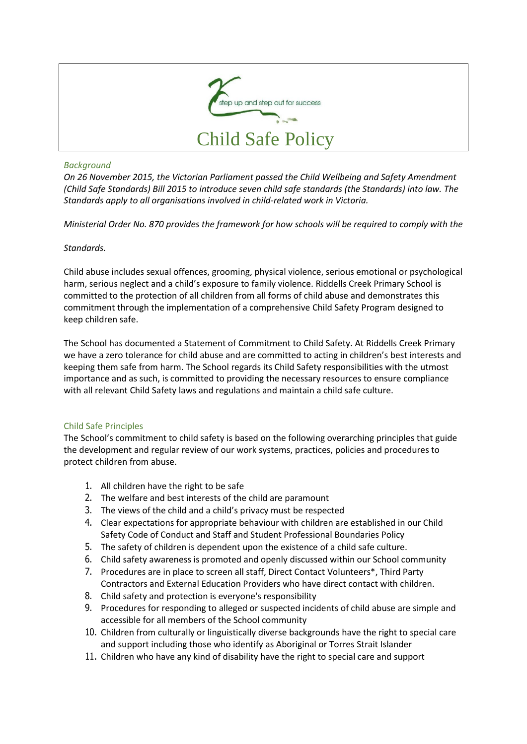

### *Background*

*On 26 November 2015, the Victorian Parliament passed the Child Wellbeing and Safety Amendment (Child Safe Standards) Bill 2015 to introduce seven child safe standards (the Standards) into law. The Standards apply to all organisations involved in child-related work in Victoria.*

*Ministerial Order No. 870 provides the framework for how schools will be required to comply with the* 

### *Standards.*

Child abuse includes sexual offences, grooming, physical violence, serious emotional or psychological harm, serious neglect and a child's exposure to family violence. Riddells Creek Primary School is committed to the protection of all children from all forms of child abuse and demonstrates this commitment through the implementation of a comprehensive Child Safety Program designed to keep children safe.

The School has documented a Statement of Commitment to Child Safety. At Riddells Creek Primary we have a zero tolerance for child abuse and are committed to acting in children's best interests and keeping them safe from harm. The School regards its Child Safety responsibilities with the utmost importance and as such, is committed to providing the necessary resources to ensure compliance with all relevant Child Safety laws and regulations and maintain a child safe culture.

# Child Safe Principles

The School's commitment to child safety is based on the following overarching principles that guide the development and regular review of our work systems, practices, policies and procedures to protect children from abuse.

- 1. All children have the right to be safe
- 2. The welfare and best interests of the child are paramount
- 3. The views of the child and a child's privacy must be respected
- 4. Clear expectations for appropriate behaviour with children are established in our Child Safety Code of Conduct and Staff and Student Professional Boundaries Policy
- 5. The safety of children is dependent upon the existence of a child safe culture.
- 6. Child safety awareness is promoted and openly discussed within our School community
- 7. Procedures are in place to screen all staff, Direct Contact Volunteers\*, Third Party Contractors and External Education Providers who have direct contact with children.
- 8. Child safety and protection is everyone's responsibility
- 9. Procedures for responding to alleged or suspected incidents of child abuse are simple and accessible for all members of the School community
- 10. Children from culturally or linguistically diverse backgrounds have the right to special care and support including those who identify as Aboriginal or Torres Strait Islander
- 11. Children who have any kind of disability have the right to special care and support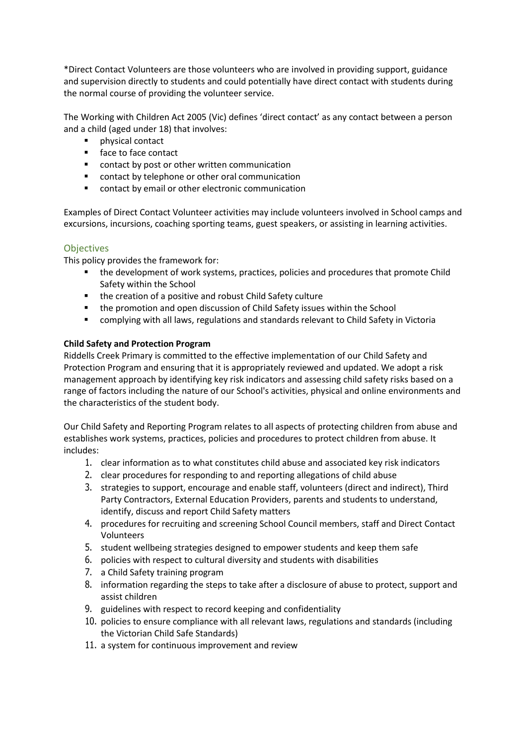\*Direct Contact Volunteers are those volunteers who are involved in providing support, guidance and supervision directly to students and could potentially have direct contact with students during the normal course of providing the volunteer service.

The Working with Children Act 2005 (Vic) defines 'direct contact' as any contact between a person and a child (aged under 18) that involves:

- physical contact
- face to face contact
- **•** contact by post or other written communication
- contact by telephone or other oral communication
- **•** contact by email or other electronic communication

Examples of Direct Contact Volunteer activities may include volunteers involved in School camps and excursions, incursions, coaching sporting teams, guest speakers, or assisting in learning activities.

# **Objectives**

This policy provides the framework for:

- the development of work systems, practices, policies and procedures that promote Child Safety within the School
- the creation of a positive and robust Child Safety culture
- **the promotion and open discussion of Child Safety issues within the School**
- complying with all laws, regulations and standards relevant to Child Safety in Victoria

# **Child Safety and Protection Program**

Riddells Creek Primary is committed to the effective implementation of our Child Safety and Protection Program and ensuring that it is appropriately reviewed and updated. We adopt a risk management approach by identifying key risk indicators and assessing child safety risks based on a range of factors including the nature of our School's activities, physical and online environments and the characteristics of the student body.

Our Child Safety and Reporting Program relates to all aspects of protecting children from abuse and establishes work systems, practices, policies and procedures to protect children from abuse. It includes:

- 1. clear information as to what constitutes child abuse and associated key risk indicators
- 2. clear procedures for responding to and reporting allegations of child abuse
- 3. strategies to support, encourage and enable staff, volunteers (direct and indirect), Third Party Contractors, External Education Providers, parents and students to understand, identify, discuss and report Child Safety matters
- 4. procedures for recruiting and screening School Council members, staff and Direct Contact Volunteers
- 5. student wellbeing strategies designed to empower students and keep them safe
- 6. policies with respect to cultural diversity and students with disabilities
- 7. a Child Safety training program
- 8. information regarding the steps to take after a disclosure of abuse to protect, support and assist children
- 9. guidelines with respect to record keeping and confidentiality
- 10. policies to ensure compliance with all relevant laws, regulations and standards (including the Victorian Child Safe Standards)
- 11. a system for continuous improvement and review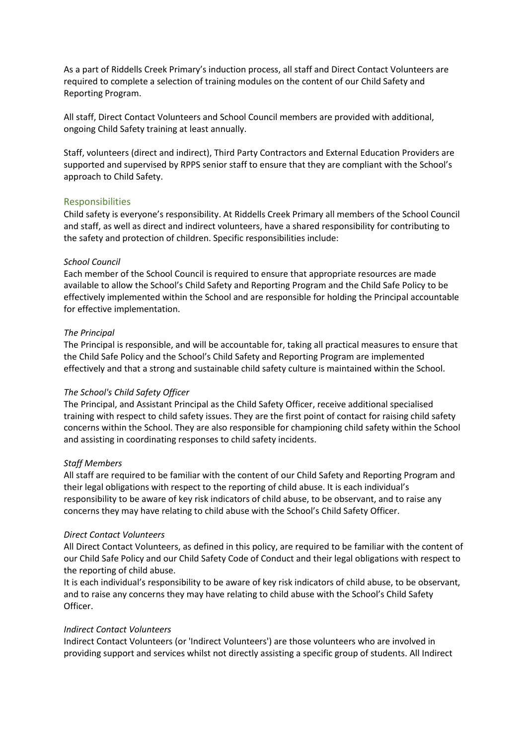As a part of Riddells Creek Primary's induction process, all staff and Direct Contact Volunteers are required to complete a selection of training modules on the content of our Child Safety and Reporting Program.

All staff, Direct Contact Volunteers and School Council members are provided with additional, ongoing Child Safety training at least annually.

Staff, volunteers (direct and indirect), Third Party Contractors and External Education Providers are supported and supervised by RPPS senior staff to ensure that they are compliant with the School's approach to Child Safety.

### Responsibilities

Child safety is everyone's responsibility. At Riddells Creek Primary all members of the School Council and staff, as well as direct and indirect volunteers, have a shared responsibility for contributing to the safety and protection of children. Specific responsibilities include:

### *School Council*

Each member of the School Council is required to ensure that appropriate resources are made available to allow the School's Child Safety and Reporting Program and the Child Safe Policy to be effectively implemented within the School and are responsible for holding the Principal accountable for effective implementation.

### *The Principal*

The Principal is responsible, and will be accountable for, taking all practical measures to ensure that the Child Safe Policy and the School's Child Safety and Reporting Program are implemented effectively and that a strong and sustainable child safety culture is maintained within the School.

### *The School's Child Safety Officer*

The Principal, and Assistant Principal as the Child Safety Officer, receive additional specialised training with respect to child safety issues. They are the first point of contact for raising child safety concerns within the School. They are also responsible for championing child safety within the School and assisting in coordinating responses to child safety incidents.

### *Staff Members*

All staff are required to be familiar with the content of our Child Safety and Reporting Program and their legal obligations with respect to the reporting of child abuse. It is each individual's responsibility to be aware of key risk indicators of child abuse, to be observant, and to raise any concerns they may have relating to child abuse with the School's Child Safety Officer.

#### *Direct Contact Volunteers*

All Direct Contact Volunteers, as defined in this policy, are required to be familiar with the content of our Child Safe Policy and our Child Safety Code of Conduct and their legal obligations with respect to the reporting of child abuse.

It is each individual's responsibility to be aware of key risk indicators of child abuse, to be observant, and to raise any concerns they may have relating to child abuse with the School's Child Safety Officer.

### *Indirect Contact Volunteers*

Indirect Contact Volunteers (or 'Indirect Volunteers') are those volunteers who are involved in providing support and services whilst not directly assisting a specific group of students. All Indirect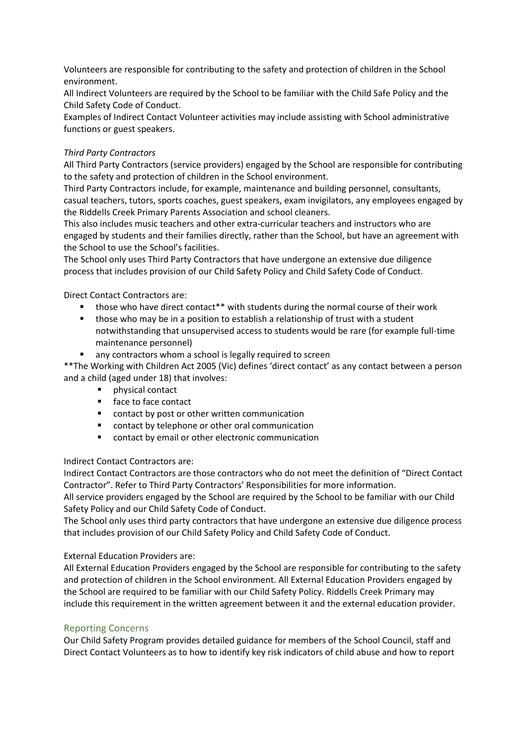Volunteers are responsible for contributing to the safety and protection of children in the School environment.

All Indirect Volunteers are required by the School to be familiar with the Child Safe Policy and the Child Safety Code of Conduct.

Examples of Indirect Contact Volunteer activities may include assisting with School administrative functions or guest speakers.

### *Third Party Contractors*

All Third Party Contractors (service providers) engaged by the School are responsible for contributing to the safety and protection of children in the School environment.

Third Party Contractors include, for example, maintenance and building personnel, consultants, casual teachers, tutors, sports coaches, guest speakers, exam invigilators, any employees engaged by the Riddells Creek Primary Parents Association and school cleaners.

This also includes music teachers and other extra-curricular teachers and instructors who are engaged by students and their families directly, rather than the School, but have an agreement with the School to use the School's facilities.

The School only uses Third Party Contractors that have undergone an extensive due diligence process that includes provision of our Child Safety Policy and Child Safety Code of Conduct.

Direct Contact Contractors are:

- those who have direct contact\*\* with students during the normal course of their work
- **those who may be in a position to establish a relationship of trust with a student** notwithstanding that unsupervised access to students would be rare (for example full-time maintenance personnel)
- **EXECT** any contractors whom a school is legally required to screen

\*\*The Working with Children Act 2005 (Vic) defines 'direct contact' as any contact between a person and a child (aged under 18) that involves:

- **Physical contact**
- face to face contact
- contact by post or other written communication
- **•** contact by telephone or other oral communication
- contact by email or other electronic communication

### Indirect Contact Contractors are:

Indirect Contact Contractors are those contractors who do not meet the definition of "Direct Contact Contractor". Refer to Third Party Contractors' Responsibilities for more information.

All service providers engaged by the School are required by the School to be familiar with our Child Safety Policy and our Child Safety Code of Conduct.

The School only uses third party contractors that have undergone an extensive due diligence process that includes provision of our Child Safety Policy and Child Safety Code of Conduct.

### External Education Providers are:

All External Education Providers engaged by the School are responsible for contributing to the safety and protection of children in the School environment. All External Education Providers engaged by the School are required to be familiar with our Child Safety Policy. Riddells Creek Primary may include this requirement in the written agreement between it and the external education provider.

# Reporting Concerns

Our Child Safety Program provides detailed guidance for members of the School Council, staff and Direct Contact Volunteers as to how to identify key risk indicators of child abuse and how to report